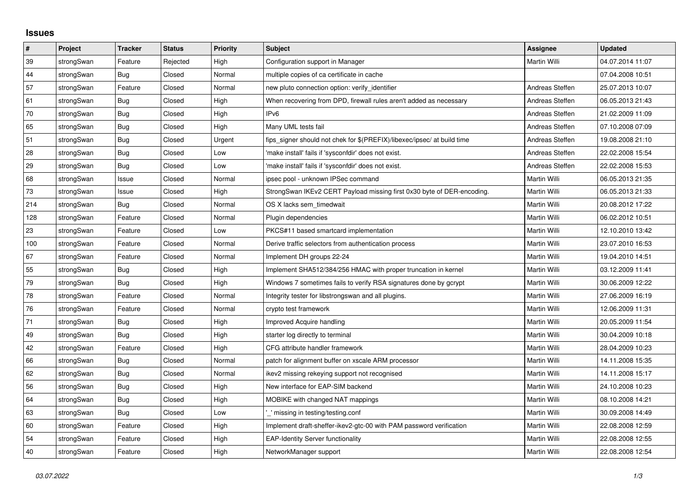## **Issues**

| $\vert$ # | Project    | <b>Tracker</b> | <b>Status</b> | <b>Priority</b> | <b>Subject</b>                                                          | <b>Assignee</b>     | <b>Updated</b>   |
|-----------|------------|----------------|---------------|-----------------|-------------------------------------------------------------------------|---------------------|------------------|
| 39        | strongSwan | Feature        | Rejected      | High            | Configuration support in Manager                                        | <b>Martin Willi</b> | 04.07.2014 11:07 |
| 44        | strongSwan | <b>Bug</b>     | Closed        | Normal          | multiple copies of ca certificate in cache                              |                     | 07.04.2008 10:51 |
| 57        | strongSwan | Feature        | Closed        | Normal          | new pluto connection option: verify identifier                          | Andreas Steffen     | 25.07.2013 10:07 |
| 61        | strongSwan | Bug            | Closed        | High            | When recovering from DPD, firewall rules aren't added as necessary      | Andreas Steffen     | 06.05.2013 21:43 |
| 70        | strongSwan | <b>Bug</b>     | Closed        | High            | IPv6                                                                    | Andreas Steffen     | 21.02.2009 11:09 |
| 65        | strongSwan | Bug            | Closed        | High            | Many UML tests fail                                                     | Andreas Steffen     | 07.10.2008 07:09 |
| 51        | strongSwan | <b>Bug</b>     | Closed        | Urgent          | fips_signer should not chek for \$(PREFIX)/libexec/ipsec/ at build time | Andreas Steffen     | 19.08.2008 21:10 |
| 28        | strongSwan | Bug            | Closed        | Low             | 'make install' fails if 'sysconfdir' does not exist.                    | Andreas Steffen     | 22.02.2008 15:54 |
| 29        | strongSwan | <b>Bug</b>     | Closed        | Low             | 'make install' fails if 'sysconfdir' does not exist.                    | Andreas Steffen     | 22.02.2008 15:53 |
| 68        | strongSwan | Issue          | Closed        | Normal          | ipsec pool - unknown IPSec command                                      | Martin Willi        | 06.05.2013 21:35 |
| $73\,$    | strongSwan | Issue          | Closed        | High            | StrongSwan IKEv2 CERT Payload missing first 0x30 byte of DER-encoding.  | Martin Willi        | 06.05.2013 21:33 |
| 214       | strongSwan | Bug            | Closed        | Normal          | OS X lacks sem timedwait                                                | Martin Willi        | 20.08.2012 17:22 |
| 128       | strongSwan | Feature        | Closed        | Normal          | Plugin dependencies                                                     | <b>Martin Willi</b> | 06.02.2012 10:51 |
| 23        | strongSwan | Feature        | Closed        | Low             | PKCS#11 based smartcard implementation                                  | Martin Willi        | 12.10.2010 13:42 |
| 100       | strongSwan | Feature        | Closed        | Normal          | Derive traffic selectors from authentication process                    | Martin Willi        | 23.07.2010 16:53 |
| 67        | strongSwan | Feature        | Closed        | Normal          | Implement DH groups 22-24                                               | <b>Martin Willi</b> | 19.04.2010 14:51 |
| 55        | strongSwan | Bug            | Closed        | High            | Implement SHA512/384/256 HMAC with proper truncation in kernel          | Martin Willi        | 03.12.2009 11:41 |
| 79        | strongSwan | Bug            | Closed        | High            | Windows 7 sometimes fails to verify RSA signatures done by gcrypt       | Martin Willi        | 30.06.2009 12:22 |
| 78        | strongSwan | Feature        | Closed        | Normal          | Integrity tester for libstrongswan and all plugins.                     | Martin Willi        | 27.06.2009 16:19 |
| 76        | strongSwan | Feature        | Closed        | Normal          | crypto test framework                                                   | Martin Willi        | 12.06.2009 11:31 |
| 71        | strongSwan | <b>Bug</b>     | Closed        | High            | <b>Improved Acquire handling</b>                                        | Martin Willi        | 20.05.2009 11:54 |
| 49        | strongSwan | Bug            | Closed        | High            | starter log directly to terminal                                        | Martin Willi        | 30.04.2009 10:18 |
| 42        | strongSwan | Feature        | Closed        | High            | CFG attribute handler framework                                         | Martin Willi        | 28.04.2009 10:23 |
| 66        | strongSwan | Bug            | Closed        | Normal          | patch for alignment buffer on xscale ARM processor                      | Martin Willi        | 14.11.2008 15:35 |
| 62        | strongSwan | <b>Bug</b>     | Closed        | Normal          | ikev2 missing rekeying support not recognised                           | Martin Willi        | 14.11.2008 15:17 |
| 56        | strongSwan | Bug            | Closed        | High            | New interface for EAP-SIM backend                                       | Martin Willi        | 24.10.2008 10:23 |
| 64        | strongSwan | Bug            | Closed        | High            | MOBIKE with changed NAT mappings                                        | Martin Willi        | 08.10.2008 14:21 |
| 63        | strongSwan | <b>Bug</b>     | Closed        | Low             | missing in testing/testing.conf                                         | Martin Willi        | 30.09.2008 14:49 |
| 60        | strongSwan | Feature        | Closed        | High            | Implement draft-sheffer-ikev2-gtc-00 with PAM password verification     | Martin Willi        | 22.08.2008 12:59 |
| 54        | strongSwan | Feature        | Closed        | High            | <b>EAP-Identity Server functionality</b>                                | Martin Willi        | 22.08.2008 12:55 |
| 40        | strongSwan | Feature        | Closed        | High            | NetworkManager support                                                  | Martin Willi        | 22.08.2008 12:54 |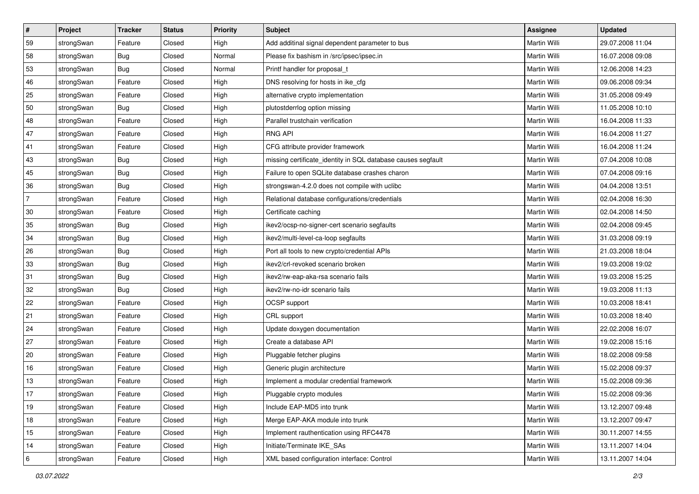| #              | Project    | <b>Tracker</b> | <b>Status</b> | <b>Priority</b> | <b>Subject</b>                                               | Assignee            | <b>Updated</b>   |
|----------------|------------|----------------|---------------|-----------------|--------------------------------------------------------------|---------------------|------------------|
| 59             | strongSwan | Feature        | Closed        | High            | Add additinal signal dependent parameter to bus              | Martin Willi        | 29.07.2008 11:04 |
| 58             | strongSwan | Bug            | Closed        | Normal          | Please fix bashism in /src/ipsec/ipsec.in                    | Martin Willi        | 16.07.2008 09:08 |
| 53             | strongSwan | Bug            | Closed        | Normal          | Printf handler for proposal t                                | Martin Willi        | 12.06.2008 14:23 |
| 46             | strongSwan | Feature        | Closed        | High            | DNS resolving for hosts in ike_cfg                           | Martin Willi        | 09.06.2008 09:34 |
| 25             | strongSwan | Feature        | Closed        | High            | alternative crypto implementation                            | Martin Willi        | 31.05.2008 09:49 |
| 50             | strongSwan | Bug            | Closed        | High            | plutostderrlog option missing                                | <b>Martin Willi</b> | 11.05.2008 10:10 |
| 48             | strongSwan | Feature        | Closed        | High            | Parallel trustchain verification                             | Martin Willi        | 16.04.2008 11:33 |
| 47             | strongSwan | Feature        | Closed        | High            | <b>RNG API</b>                                               | Martin Willi        | 16.04.2008 11:27 |
| 41             | strongSwan | Feature        | Closed        | High            | CFG attribute provider framework                             | Martin Willi        | 16.04.2008 11:24 |
| 43             | strongSwan | Bug            | Closed        | High            | missing certificate_identity in SQL database causes segfault | Martin Willi        | 07.04.2008 10:08 |
| 45             | strongSwan | Bug            | Closed        | High            | Failure to open SQLite database crashes charon               | Martin Willi        | 07.04.2008 09:16 |
| 36             | strongSwan | Bug            | Closed        | High            | strongswan-4.2.0 does not compile with uclibc                | Martin Willi        | 04.04.2008 13:51 |
| $\overline{7}$ | strongSwan | Feature        | Closed        | High            | Relational database configurations/credentials               | Martin Willi        | 02.04.2008 16:30 |
| $30\,$         | strongSwan | Feature        | Closed        | High            | Certificate caching                                          | Martin Willi        | 02.04.2008 14:50 |
| 35             | strongSwan | Bug            | Closed        | High            | ikev2/ocsp-no-signer-cert scenario segfaults                 | Martin Willi        | 02.04.2008 09:45 |
| 34             | strongSwan | Bug            | Closed        | High            | ikev2/multi-level-ca-loop segfaults                          | Martin Willi        | 31.03.2008 09:19 |
| 26             | strongSwan | Bug            | Closed        | High            | Port all tools to new crypto/credential APIs                 | <b>Martin Willi</b> | 21.03.2008 18:04 |
| 33             | strongSwan | Bug            | Closed        | High            | ikev2/crl-revoked scenario broken                            | Martin Willi        | 19.03.2008 19:02 |
| 31             | strongSwan | Bug            | Closed        | High            | ikev2/rw-eap-aka-rsa scenario fails                          | Martin Willi        | 19.03.2008 15:25 |
| 32             | strongSwan | Bug            | Closed        | High            | ikev2/rw-no-idr scenario fails                               | Martin Willi        | 19.03.2008 11:13 |
| 22             | strongSwan | Feature        | Closed        | High            | OCSP support                                                 | Martin Willi        | 10.03.2008 18:41 |
| 21             | strongSwan | Feature        | Closed        | High            | CRL support                                                  | Martin Willi        | 10.03.2008 18:40 |
| 24             | strongSwan | Feature        | Closed        | High            | Update doxygen documentation                                 | Martin Willi        | 22.02.2008 16:07 |
| 27             | strongSwan | Feature        | Closed        | High            | Create a database API                                        | Martin Willi        | 19.02.2008 15:16 |
| 20             | strongSwan | Feature        | Closed        | High            | Pluggable fetcher plugins                                    | Martin Willi        | 18.02.2008 09:58 |
| 16             | strongSwan | Feature        | Closed        | High            | Generic plugin architecture                                  | Martin Willi        | 15.02.2008 09:37 |
| 13             | strongSwan | Feature        | Closed        | High            | Implement a modular credential framework                     | Martin Willi        | 15.02.2008 09:36 |
| $17$           | strongSwan | Feature        | Closed        | High            | Pluggable crypto modules                                     | Martin Willi        | 15.02.2008 09:36 |
| 19             | strongSwan | Feature        | Closed        | High            | Include EAP-MD5 into trunk                                   | Martin Willi        | 13.12.2007 09:48 |
| $18$           | strongSwan | Feature        | Closed        | High            | Merge EAP-AKA module into trunk                              | Martin Willi        | 13.12.2007 09:47 |
| 15             | strongSwan | Feature        | Closed        | High            | Implement rauthentication using RFC4478                      | Martin Willi        | 30.11.2007 14:55 |
| 14             | strongSwan | Feature        | Closed        | High            | Initiate/Terminate IKE SAs                                   | Martin Willi        | 13.11.2007 14:04 |
| $\,6\,$        | strongSwan | Feature        | Closed        | High            | XML based configuration interface: Control                   | Martin Willi        | 13.11.2007 14:04 |